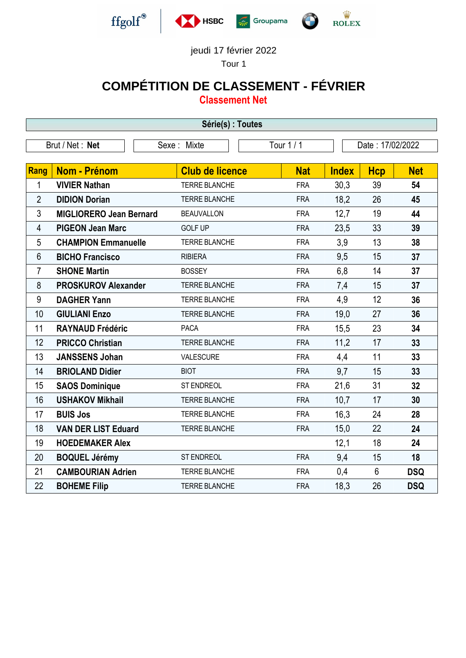

# $\frac{\dot{W}}{\text{ROLEX}}$

#### jeudi 17 février 2022

Tour 1

## **COMPÉTITION DE CLASSEMENT - FÉVRIER**

**Classement Net**

| Série(s) : Toutes |                                |                        |            |                  |                |            |  |  |  |  |
|-------------------|--------------------------------|------------------------|------------|------------------|----------------|------------|--|--|--|--|
|                   | Brut / Net: Net                | Sexe: Mixte            | Tour 1 / 1 | Date: 17/02/2022 |                |            |  |  |  |  |
| <b>Rang</b>       | Nom - Prénom                   | <b>Club de licence</b> | <b>Nat</b> | <b>Index</b>     | <b>Hcp</b>     | <b>Net</b> |  |  |  |  |
|                   |                                |                        |            |                  |                |            |  |  |  |  |
| 1                 | <b>VIVIER Nathan</b>           | <b>TERRE BLANCHE</b>   | <b>FRA</b> | 30,3             | 39             | 54         |  |  |  |  |
| $\overline{2}$    | <b>DIDION Dorian</b>           | TERRE BLANCHE          | <b>FRA</b> | 18,2             | 26             | 45         |  |  |  |  |
| 3                 | <b>MIGLIORERO Jean Bernard</b> | <b>BEAUVALLON</b>      | <b>FRA</b> | 12,7             | 19             | 44         |  |  |  |  |
| 4                 | <b>PIGEON Jean Marc</b>        | <b>GOLF UP</b>         | <b>FRA</b> | 23,5             | 33             | 39         |  |  |  |  |
| 5                 | <b>CHAMPION Emmanuelle</b>     | TERRE BLANCHE          | <b>FRA</b> | 3,9              | 13             | 38         |  |  |  |  |
| 6                 | <b>BICHO Francisco</b>         | <b>RIBIERA</b>         | <b>FRA</b> | 9,5              | 15             | 37         |  |  |  |  |
| $\overline{7}$    | <b>SHONE Martin</b>            | <b>BOSSEY</b>          | <b>FRA</b> | 6,8              | 14             | 37         |  |  |  |  |
| 8                 | <b>PROSKUROV Alexander</b>     | <b>TERRE BLANCHE</b>   | <b>FRA</b> | 7,4              | 15             | 37         |  |  |  |  |
| 9                 | <b>DAGHER Yann</b>             | TERRE BLANCHE          | <b>FRA</b> | 4,9              | 12             | 36         |  |  |  |  |
| 10                | <b>GIULIANI Enzo</b>           | <b>TERRE BLANCHE</b>   | <b>FRA</b> | 19,0             | 27             | 36         |  |  |  |  |
| 11                | <b>RAYNAUD Frédéric</b>        | <b>PACA</b>            | <b>FRA</b> | 15,5             | 23             | 34         |  |  |  |  |
| 12                | <b>PRICCO Christian</b>        | <b>TERRE BLANCHE</b>   | <b>FRA</b> | 11,2             | 17             | 33         |  |  |  |  |
| 13                | <b>JANSSENS Johan</b>          | VALESCURE              | <b>FRA</b> | 4,4              | 11             | 33         |  |  |  |  |
| 14                | <b>BRIOLAND Didier</b>         | <b>BIOT</b>            | <b>FRA</b> | 9,7              | 15             | 33         |  |  |  |  |
| 15                | <b>SAOS Dominique</b>          | ST ENDREOL             | <b>FRA</b> | 21,6             | 31             | 32         |  |  |  |  |
| 16                | <b>USHAKOV Mikhail</b>         | <b>TERRE BLANCHE</b>   | <b>FRA</b> | 10,7             | 17             | 30         |  |  |  |  |
| 17                | <b>BUIS Jos</b>                | TERRE BLANCHE          | <b>FRA</b> | 16,3             | 24             | 28         |  |  |  |  |
| 18                | <b>VAN DER LIST Eduard</b>     | <b>TERRE BLANCHE</b>   | <b>FRA</b> | 15,0             | 22             | 24         |  |  |  |  |
| 19                | <b>HOEDEMAKER Alex</b>         |                        |            | 12,1             | 18             | 24         |  |  |  |  |
| 20                | <b>BOQUEL Jérémy</b>           | <b>ST ENDREOL</b>      | <b>FRA</b> | 9,4              | 15             | 18         |  |  |  |  |
| 21                | <b>CAMBOURIAN Adrien</b>       | TERRE BLANCHE          | <b>FRA</b> | 0,4              | $6\phantom{.}$ | <b>DSQ</b> |  |  |  |  |
| 22                | <b>BOHEME Filip</b>            | <b>TERRE BLANCHE</b>   | <b>FRA</b> | 18,3             | 26             | <b>DSQ</b> |  |  |  |  |